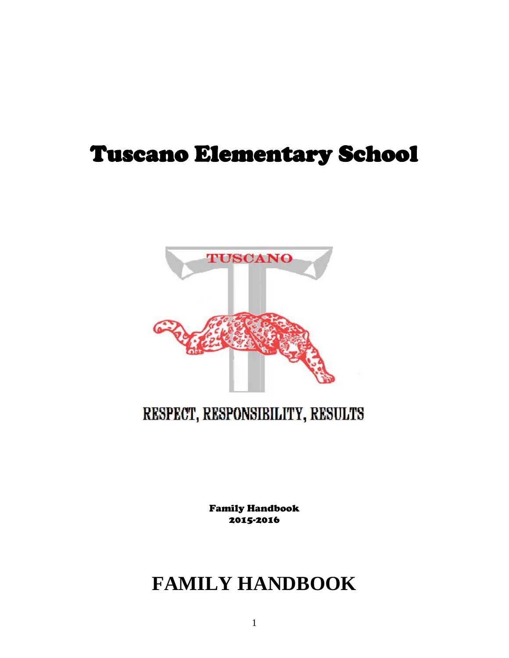# Tuscano Elementary School



# RESPECT, RESPONSIBILITY, RESULTS

Family Handbook 2015-2016

# **FAMILY HANDBOOK**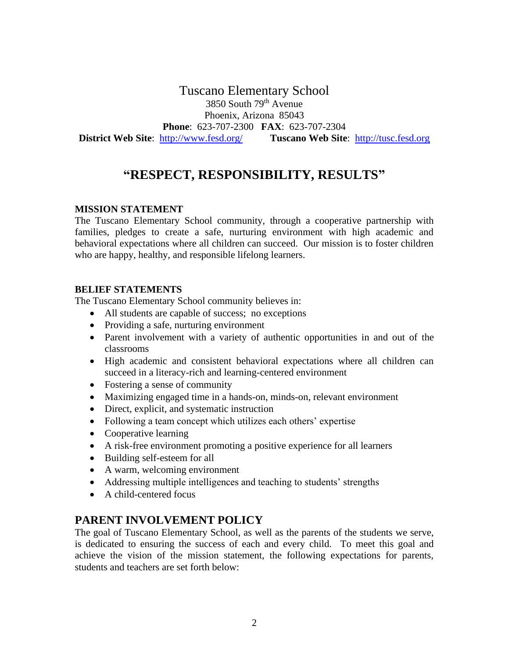Tuscano Elementary School 3850 South 79th Avenue Phoenix, Arizona 85043 **Phone**: 623-707-2300 **FAX**: 623-707-2304 **District Web Site**: [http://www.fesd.org/](http://schools.fesd.org/tusc) **Tuscano Web Site**: [http://tusc.fesd.org](http://tusc.fesd.org/)

# **"RESPECT, RESPONSIBILITY, RESULTS"**

#### **MISSION STATEMENT**

The Tuscano Elementary School community, through a cooperative partnership with families, pledges to create a safe, nurturing environment with high academic and behavioral expectations where all children can succeed. Our mission is to foster children who are happy, healthy, and responsible lifelong learners.

#### **BELIEF STATEMENTS**

The Tuscano Elementary School community believes in:

- All students are capable of success; no exceptions
- Providing a safe, nurturing environment
- Parent involvement with a variety of authentic opportunities in and out of the classrooms
- High academic and consistent behavioral expectations where all children can succeed in a literacy-rich and learning-centered environment
- Fostering a sense of community
- Maximizing engaged time in a hands-on, minds-on, relevant environment
- Direct, explicit, and systematic instruction
- Following a team concept which utilizes each others' expertise
- Cooperative learning
- A risk-free environment promoting a positive experience for all learners
- Building self-esteem for all
- A warm, welcoming environment
- Addressing multiple intelligences and teaching to students' strengths
- A child-centered focus

# **PARENT INVOLVEMENT POLICY**

The goal of Tuscano Elementary School, as well as the parents of the students we serve, is dedicated to ensuring the success of each and every child. To meet this goal and achieve the vision of the mission statement, the following expectations for parents, students and teachers are set forth below: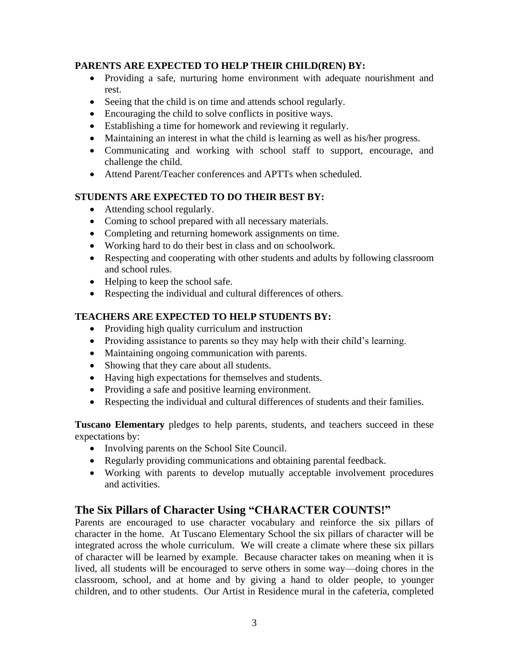#### **PARENTS ARE EXPECTED TO HELP THEIR CHILD(REN) BY:**

- Providing a safe, nurturing home environment with adequate nourishment and rest.
- Seeing that the child is on time and attends school regularly.
- Encouraging the child to solve conflicts in positive ways.
- Establishing a time for homework and reviewing it regularly.
- Maintaining an interest in what the child is learning as well as his/her progress.
- Communicating and working with school staff to support, encourage, and challenge the child.
- Attend Parent/Teacher conferences and APTTs when scheduled.

# **STUDENTS ARE EXPECTED TO DO THEIR BEST BY:**

- Attending school regularly.
- Coming to school prepared with all necessary materials.
- Completing and returning homework assignments on time.
- Working hard to do their best in class and on schoolwork.
- Respecting and cooperating with other students and adults by following classroom and school rules.
- Helping to keep the school safe.
- Respecting the individual and cultural differences of others.

# **TEACHERS ARE EXPECTED TO HELP STUDENTS BY:**

- Providing high quality curriculum and instruction
- Providing assistance to parents so they may help with their child's learning.
- Maintaining ongoing communication with parents.
- Showing that they care about all students.
- Having high expectations for themselves and students.
- Providing a safe and positive learning environment.
- Respecting the individual and cultural differences of students and their families.

**Tuscano Elementary** pledges to help parents, students, and teachers succeed in these expectations by:

- Involving parents on the School Site Council.
- Regularly providing communications and obtaining parental feedback.
- Working with parents to develop mutually acceptable involvement procedures and activities.

# **The Six Pillars of Character Using "CHARACTER COUNTS!"**

Parents are encouraged to use character vocabulary and reinforce the six pillars of character in the home. At Tuscano Elementary School the six pillars of character will be integrated across the whole curriculum. We will create a climate where these six pillars of character will be learned by example. Because character takes on meaning when it is lived, all students will be encouraged to serve others in some way—doing chores in the classroom, school, and at home and by giving a hand to older people, to younger children, and to other students. Our Artist in Residence mural in the cafeteria, completed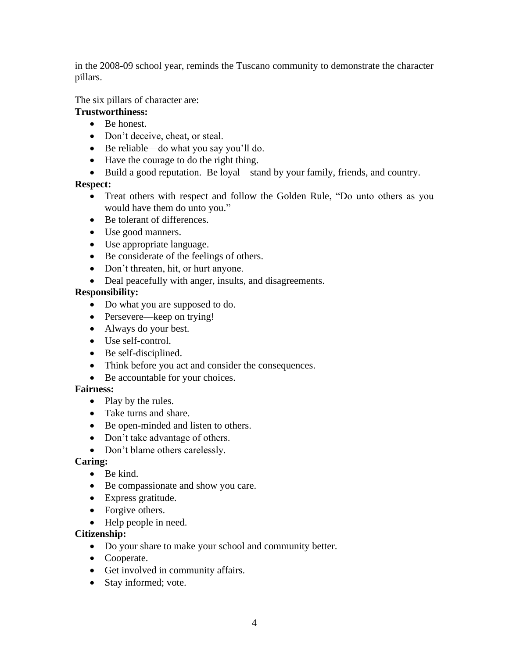in the 2008-09 school year, reminds the Tuscano community to demonstrate the character pillars.

The six pillars of character are:

# **Trustworthiness:**

- Be honest.
- Don't deceive, cheat, or steal.
- Be reliable—do what you say you'll do.
- Have the courage to do the right thing.
- Build a good reputation. Be loyal—stand by your family, friends, and country.

# **Respect:**

- Treat others with respect and follow the Golden Rule, "Do unto others as you would have them do unto you."
- Be tolerant of differences.
- Use good manners.
- Use appropriate language.
- Be considerate of the feelings of others.
- Don't threaten, hit, or hurt anyone.
- Deal peacefully with anger, insults, and disagreements.

# **Responsibility:**

- Do what you are supposed to do.
- Persevere—keep on trying!
- Always do your best.
- Use self-control.
- Be self-disciplined.
- Think before you act and consider the consequences.
- Be accountable for your choices.

# **Fairness:**

- Play by the rules.
- Take turns and share.
- Be open-minded and listen to others.
- Don't take advantage of others.
- Don't blame others carelessly.

#### **Caring:**

- Be kind.
- Be compassionate and show you care.
- Express gratitude.
- Forgive others.
- Help people in need.

#### **Citizenship:**

- Do your share to make your school and community better.
- Cooperate.
- Get involved in community affairs.
- Stay informed; vote.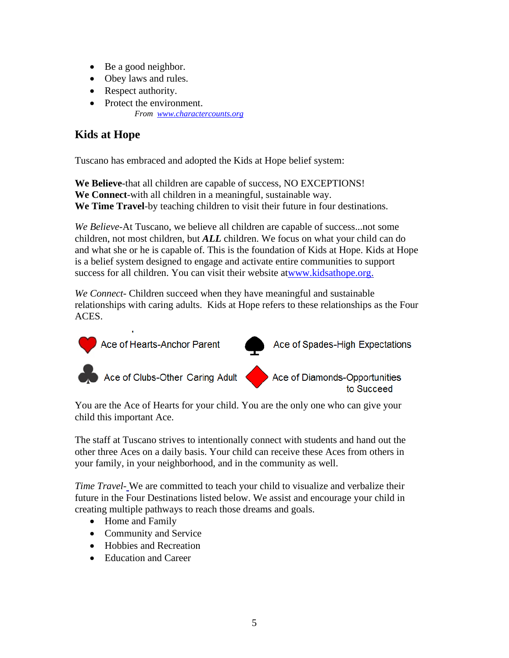- Be a good neighbor.
- Obey laws and rules.
- Respect authority.
- Protect the environment. *From [www.charactercounts.org](http://www.charactercounts.org/)*

# **Kids at Hope**

Tuscano has embraced and adopted the Kids at Hope belief system:

**We Believe**-that all children are capable of success, NO EXCEPTIONS! **We Connect**-with all children in a meaningful, sustainable way. **We Time Travel**-by teaching children to visit their future in four destinations.

*We Believe*-At Tuscano, we believe all children are capable of success...not some children, not most children, but *ALL* children. We focus on what your child can do and what she or he is capable of. This is the foundation of Kids at Hope. Kids at Hope is a belief system designed to engage and activate entire communities to support success for all children. You can visit their website at[www.kidsathope.org.](www.kidsathope.org)

*We Connect*- Children succeed when they have meaningful and sustainable relationships with caring adults. Kids at Hope refers to these relationships as the Four ACES.



You are the Ace of Hearts for your child. You are the only one who can give your child this important Ace.

The staff at Tuscano strives to intentionally connect with students and hand out the other three Aces on a daily basis. Your child can receive these Aces from others in your family, in your neighborhood, and in the community as well.

*Time Travel-* We are committed to teach your child to visualize and verbalize their future in the Four Destinations listed below. We assist and encourage your child in creating multiple pathways to reach those dreams and goals.

- Home and Family
- Community and Service
- Hobbies and Recreation
- Education and Career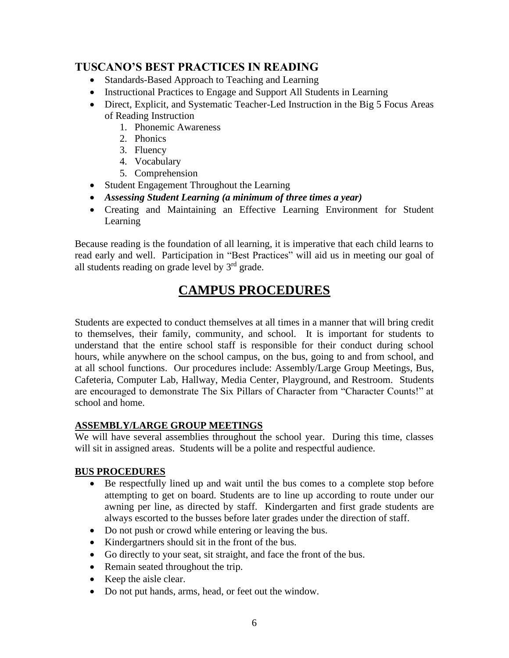# **TUSCANO'S BEST PRACTICES IN READING**

- Standards-Based Approach to Teaching and Learning
- Instructional Practices to Engage and Support All Students in Learning
- Direct, Explicit, and Systematic Teacher-Led Instruction in the Big 5 Focus Areas of Reading Instruction
	- 1. Phonemic Awareness
	- 2. Phonics
	- 3. Fluency
	- 4. Vocabulary
	- 5. Comprehension
- Student Engagement Throughout the Learning
- *Assessing Student Learning (a minimum of three times a year)*
- Creating and Maintaining an Effective Learning Environment for Student Learning

Because reading is the foundation of all learning, it is imperative that each child learns to read early and well. Participation in "Best Practices" will aid us in meeting our goal of all students reading on grade level by  $3<sup>rd</sup>$  grade.

# **CAMPUS PROCEDURES**

Students are expected to conduct themselves at all times in a manner that will bring credit to themselves, their family, community, and school. It is important for students to understand that the entire school staff is responsible for their conduct during school hours, while anywhere on the school campus, on the bus, going to and from school, and at all school functions. Our procedures include: Assembly/Large Group Meetings, Bus, Cafeteria, Computer Lab, Hallway, Media Center, Playground, and Restroom. Students are encouraged to demonstrate The Six Pillars of Character from "Character Counts!" at school and home.

#### **ASSEMBLY/LARGE GROUP MEETINGS**

We will have several assemblies throughout the school year. During this time, classes will sit in assigned areas. Students will be a polite and respectful audience.

#### **BUS PROCEDURES**

- Be respectfully lined up and wait until the bus comes to a complete stop before attempting to get on board. Students are to line up according to route under our awning per line, as directed by staff. Kindergarten and first grade students are always escorted to the busses before later grades under the direction of staff.
- Do not push or crowd while entering or leaving the bus.
- Kindergartners should sit in the front of the bus.
- Go directly to your seat, sit straight, and face the front of the bus.
- Remain seated throughout the trip.
- Keep the aisle clear.
- Do not put hands, arms, head, or feet out the window.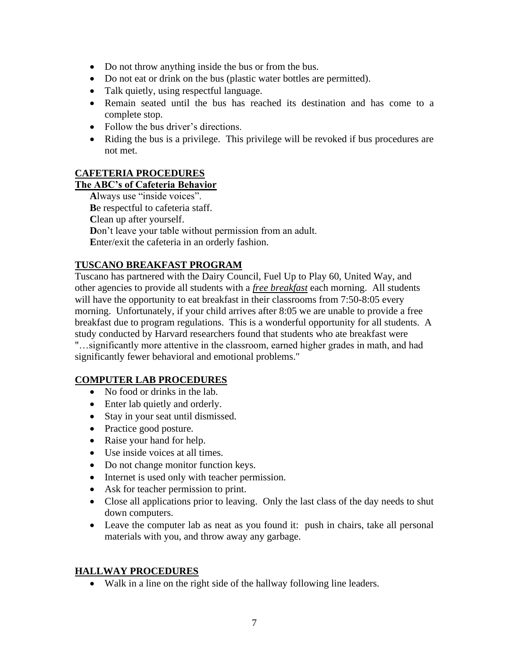- Do not throw anything inside the bus or from the bus.
- Do not eat or drink on the bus (plastic water bottles are permitted).
- Talk quietly, using respectful language.
- Remain seated until the bus has reached its destination and has come to a complete stop.
- Follow the bus driver's directions.
- Riding the bus is a privilege. This privilege will be revoked if bus procedures are not met.

#### **CAFETERIA PROCEDURES**

# **The ABC's of Cafeteria Behavior**

**A**lways use "inside voices". **B**e respectful to cafeteria staff. **C**lean up after yourself. **D**on't leave your table without permission from an adult. **E**nter/exit the cafeteria in an orderly fashion.

#### **TUSCANO BREAKFAST PROGRAM**

Tuscano has partnered with the Dairy Council, Fuel Up to Play 60, United Way, and other agencies to provide all students with a *free breakfast* each morning. All students will have the opportunity to eat breakfast in their classrooms from 7:50-8:05 every morning. Unfortunately, if your child arrives after 8:05 we are unable to provide a free breakfast due to program regulations. This is a wonderful opportunity for all students. A study conducted by Harvard researchers found that students who ate breakfast were "…significantly more attentive in the classroom, earned higher grades in math, and had significantly fewer behavioral and emotional problems."

#### **COMPUTER LAB PROCEDURES**

- No food or drinks in the lab.
- Enter lab quietly and orderly.
- Stay in your seat until dismissed.
- Practice good posture.
- Raise your hand for help.
- Use inside voices at all times.
- Do not change monitor function keys.
- Internet is used only with teacher permission.
- Ask for teacher permission to print.
- Close all applications prior to leaving. Only the last class of the day needs to shut down computers.
- Leave the computer lab as neat as you found it: push in chairs, take all personal materials with you, and throw away any garbage.

#### **HALLWAY PROCEDURES**

• Walk in a line on the right side of the hallway following line leaders.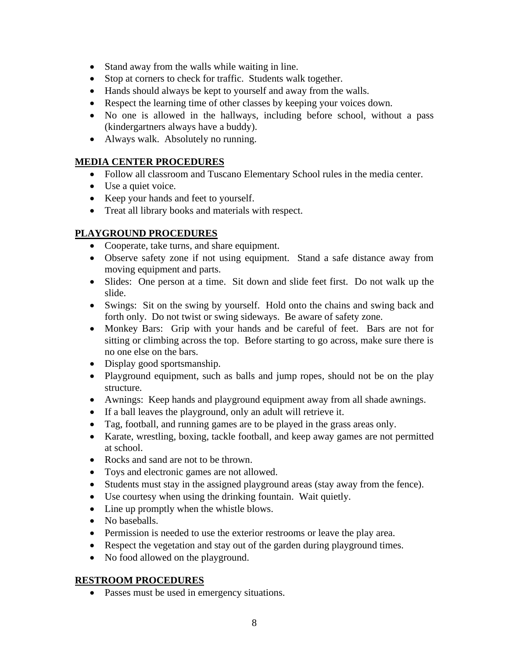- Stand away from the walls while waiting in line.
- Stop at corners to check for traffic. Students walk together.
- Hands should always be kept to yourself and away from the walls.
- Respect the learning time of other classes by keeping your voices down.
- No one is allowed in the hallways, including before school, without a pass (kindergartners always have a buddy).
- Always walk. Absolutely no running.

# **MEDIA CENTER PROCEDURES**

- Follow all classroom and Tuscano Elementary School rules in the media center.
- Use a quiet voice.
- Keep your hands and feet to yourself.
- Treat all library books and materials with respect.

# **PLAYGROUND PROCEDURES**

- Cooperate, take turns, and share equipment.
- Observe safety zone if not using equipment. Stand a safe distance away from moving equipment and parts.
- Slides: One person at a time. Sit down and slide feet first. Do not walk up the slide.
- Swings: Sit on the swing by yourself. Hold onto the chains and swing back and forth only. Do not twist or swing sideways. Be aware of safety zone.
- Monkey Bars: Grip with your hands and be careful of feet. Bars are not for sitting or climbing across the top. Before starting to go across, make sure there is no one else on the bars.
- Display good sportsmanship.
- Playground equipment, such as balls and jump ropes, should not be on the play structure.
- Awnings: Keep hands and playground equipment away from all shade awnings.
- If a ball leaves the playground, only an adult will retrieve it.
- Tag, football, and running games are to be played in the grass areas only.
- Karate, wrestling, boxing, tackle football, and keep away games are not permitted at school.
- Rocks and sand are not to be thrown.
- Toys and electronic games are not allowed.
- Students must stay in the assigned playground areas (stay away from the fence).
- Use courtesy when using the drinking fountain. Wait quietly.
- Line up promptly when the whistle blows.
- No baseballs.
- Permission is needed to use the exterior restrooms or leave the play area.
- Respect the vegetation and stay out of the garden during playground times.
- No food allowed on the playground.

# **RESTROOM PROCEDURES**

• Passes must be used in emergency situations.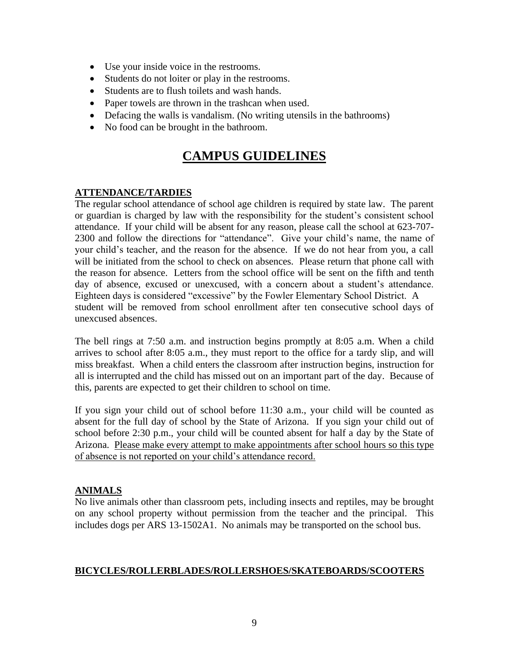- Use your inside voice in the restrooms.
- Students do not loiter or play in the restrooms.
- Students are to flush toilets and wash hands.
- Paper towels are thrown in the trashcan when used.
- Defacing the walls is vandalism. (No writing utensils in the bathrooms)
- No food can be brought in the bathroom.

# **CAMPUS GUIDELINES**

#### **ATTENDANCE/TARDIES**

The regular school attendance of school age children is required by state law. The parent or guardian is charged by law with the responsibility for the student's consistent school attendance. If your child will be absent for any reason, please call the school at 623-707- 2300 and follow the directions for "attendance". Give your child's name, the name of your child's teacher, and the reason for the absence. If we do not hear from you, a call will be initiated from the school to check on absences. Please return that phone call with the reason for absence. Letters from the school office will be sent on the fifth and tenth day of absence, excused or unexcused, with a concern about a student's attendance. Eighteen days is considered "excessive" by the Fowler Elementary School District. A student will be removed from school enrollment after ten consecutive school days of unexcused absences.

The bell rings at 7:50 a.m. and instruction begins promptly at 8:05 a.m. When a child arrives to school after 8:05 a.m., they must report to the office for a tardy slip, and will miss breakfast. When a child enters the classroom after instruction begins, instruction for all is interrupted and the child has missed out on an important part of the day. Because of this, parents are expected to get their children to school on time.

If you sign your child out of school before 11:30 a.m., your child will be counted as absent for the full day of school by the State of Arizona. If you sign your child out of school before 2:30 p.m., your child will be counted absent for half a day by the State of Arizona. Please make every attempt to make appointments after school hours so this type of absence is not reported on your child's attendance record.

#### **ANIMALS**

No live animals other than classroom pets, including insects and reptiles, may be brought on any school property without permission from the teacher and the principal. This includes dogs per ARS 13-1502A1. No animals may be transported on the school bus.

#### **BICYCLES/ROLLERBLADES/ROLLERSHOES/SKATEBOARDS/SCOOTERS**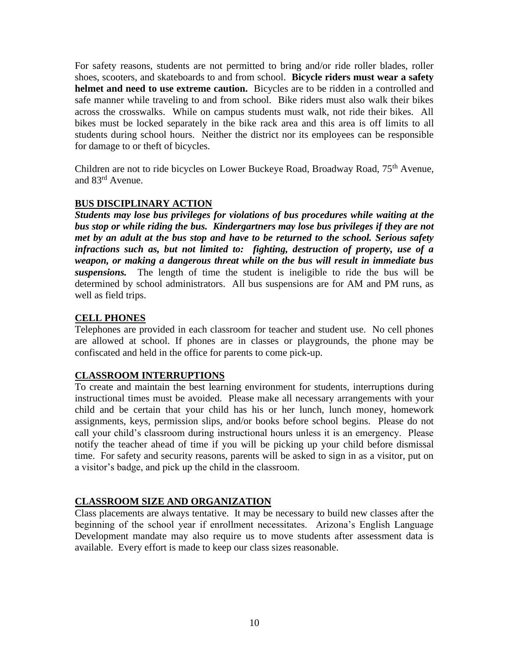For safety reasons, students are not permitted to bring and/or ride roller blades, roller shoes, scooters, and skateboards to and from school. **Bicycle riders must wear a safety helmet and need to use extreme caution.** Bicycles are to be ridden in a controlled and safe manner while traveling to and from school. Bike riders must also walk their bikes across the crosswalks. While on campus students must walk, not ride their bikes. All bikes must be locked separately in the bike rack area and this area is off limits to all students during school hours. Neither the district nor its employees can be responsible for damage to or theft of bicycles.

Children are not to ride bicycles on Lower Buckeye Road, Broadway Road, 75<sup>th</sup> Avenue, and 83rd Avenue.

#### **BUS DISCIPLINARY ACTION**

*Students may lose bus privileges for violations of bus procedures while waiting at the bus stop or while riding the bus. Kindergartners may lose bus privileges if they are not met by an adult at the bus stop and have to be returned to the school. Serious safety infractions such as, but not limited to: fighting, destruction of property, use of a weapon, or making a dangerous threat while on the bus will result in immediate bus suspensions.* The length of time the student is ineligible to ride the bus will be determined by school administrators. All bus suspensions are for AM and PM runs, as well as field trips.

#### **CELL PHONES**

Telephones are provided in each classroom for teacher and student use. No cell phones are allowed at school. If phones are in classes or playgrounds, the phone may be confiscated and held in the office for parents to come pick-up.

#### **CLASSROOM INTERRUPTIONS**

To create and maintain the best learning environment for students, interruptions during instructional times must be avoided. Please make all necessary arrangements with your child and be certain that your child has his or her lunch, lunch money, homework assignments, keys, permission slips, and/or books before school begins. Please do not call your child's classroom during instructional hours unless it is an emergency. Please notify the teacher ahead of time if you will be picking up your child before dismissal time. For safety and security reasons, parents will be asked to sign in as a visitor, put on a visitor's badge, and pick up the child in the classroom.

#### **CLASSROOM SIZE AND ORGANIZATION**

Class placements are always tentative. It may be necessary to build new classes after the beginning of the school year if enrollment necessitates. Arizona's English Language Development mandate may also require us to move students after assessment data is available. Every effort is made to keep our class sizes reasonable.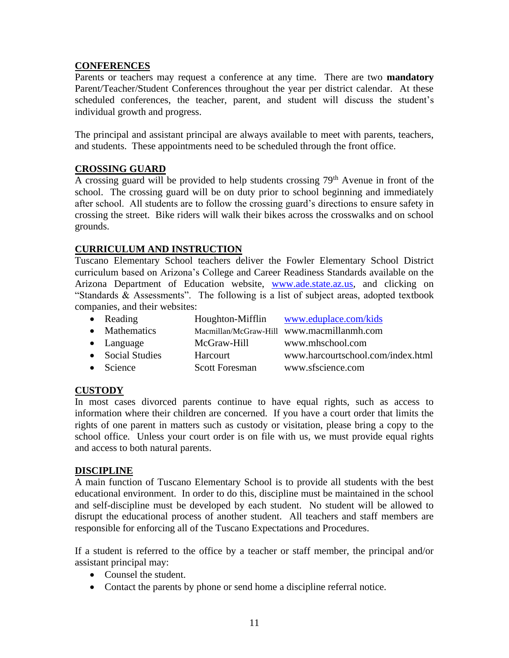#### **CONFERENCES**

Parents or teachers may request a conference at any time. There are two **mandatory** Parent/Teacher/Student Conferences throughout the year per district calendar. At these scheduled conferences, the teacher, parent, and student will discuss the student's individual growth and progress.

The principal and assistant principal are always available to meet with parents, teachers, and students. These appointments need to be scheduled through the front office.

# **CROSSING GUARD**

A crossing guard will be provided to help students crossing 79<sup>th</sup> Avenue in front of the school. The crossing guard will be on duty prior to school beginning and immediately after school. All students are to follow the crossing guard's directions to ensure safety in crossing the street. Bike riders will walk their bikes across the crosswalks and on school grounds.

# **CURRICULUM AND INSTRUCTION**

Tuscano Elementary School teachers deliver the Fowler Elementary School District curriculum based on Arizona's College and Career Readiness Standards available on the Arizona Department of Education website, [www.ade.state.az.us,](http://www.ade.state.az.us/) and clicking on "Standards & Assessments". The following is a list of subject areas, adopted textbook companies, and their websites:

| • Reading          |                       | Houghton-Mifflin www.eduplace.com/kids    |
|--------------------|-----------------------|-------------------------------------------|
| • Mathematics      |                       | Macmillan/McGraw-Hill www.macmillanmh.com |
| $\bullet$ Language | McGraw-Hill           | www.mhschool.com                          |
| • Social Studies   | Harcourt              | www.harcourtschool.com/index.html         |
| • Science          | <b>Scott Foresman</b> | www.sfscience.com                         |

# **CUSTODY**

In most cases divorced parents continue to have equal rights, such as access to information where their children are concerned. If you have a court order that limits the rights of one parent in matters such as custody or visitation, please bring a copy to the school office. Unless your court order is on file with us, we must provide equal rights and access to both natural parents.

#### **DISCIPLINE**

A main function of Tuscano Elementary School is to provide all students with the best educational environment. In order to do this, discipline must be maintained in the school and self-discipline must be developed by each student. No student will be allowed to disrupt the educational process of another student. All teachers and staff members are responsible for enforcing all of the Tuscano Expectations and Procedures.

If a student is referred to the office by a teacher or staff member, the principal and/or assistant principal may:

- Counsel the student.
- Contact the parents by phone or send home a discipline referral notice.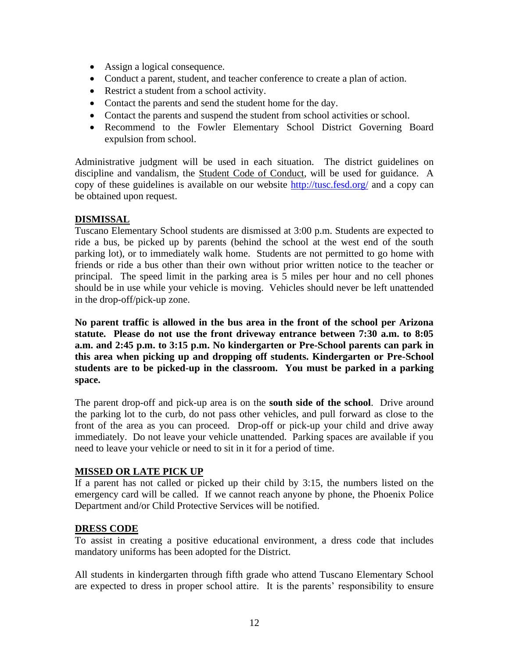- Assign a logical consequence.
- Conduct a parent, student, and teacher conference to create a plan of action.
- Restrict a student from a school activity.
- Contact the parents and send the student home for the day.
- Contact the parents and suspend the student from school activities or school.
- Recommend to the Fowler Elementary School District Governing Board expulsion from school.

Administrative judgment will be used in each situation. The district guidelines on discipline and vandalism, the Student Code of Conduct, will be used for guidance. A copy of these guidelines is available on our website<http://tusc.fesd.org/> and a copy can be obtained upon request.

#### **DISMISSAL**

Tuscano Elementary School students are dismissed at 3:00 p.m. Students are expected to ride a bus, be picked up by parents (behind the school at the west end of the south parking lot), or to immediately walk home. Students are not permitted to go home with friends or ride a bus other than their own without prior written notice to the teacher or principal. The speed limit in the parking area is 5 miles per hour and no cell phones should be in use while your vehicle is moving. Vehicles should never be left unattended in the drop-off/pick-up zone.

**No parent traffic is allowed in the bus area in the front of the school per Arizona statute. Please do not use the front driveway entrance between 7:30 a.m. to 8:05 a.m. and 2:45 p.m. to 3:15 p.m. No kindergarten or Pre-School parents can park in this area when picking up and dropping off students. Kindergarten or Pre-School students are to be picked-up in the classroom. You must be parked in a parking space.** 

The parent drop-off and pick-up area is on the **south side of the school**. Drive around the parking lot to the curb, do not pass other vehicles, and pull forward as close to the front of the area as you can proceed. Drop-off or pick-up your child and drive away immediately. Do not leave your vehicle unattended. Parking spaces are available if you need to leave your vehicle or need to sit in it for a period of time.

#### **MISSED OR LATE PICK UP**

If a parent has not called or picked up their child by 3:15, the numbers listed on the emergency card will be called. If we cannot reach anyone by phone, the Phoenix Police Department and/or Child Protective Services will be notified.

#### **DRESS CODE**

To assist in creating a positive educational environment, a dress code that includes mandatory uniforms has been adopted for the District.

All students in kindergarten through fifth grade who attend Tuscano Elementary School are expected to dress in proper school attire. It is the parents' responsibility to ensure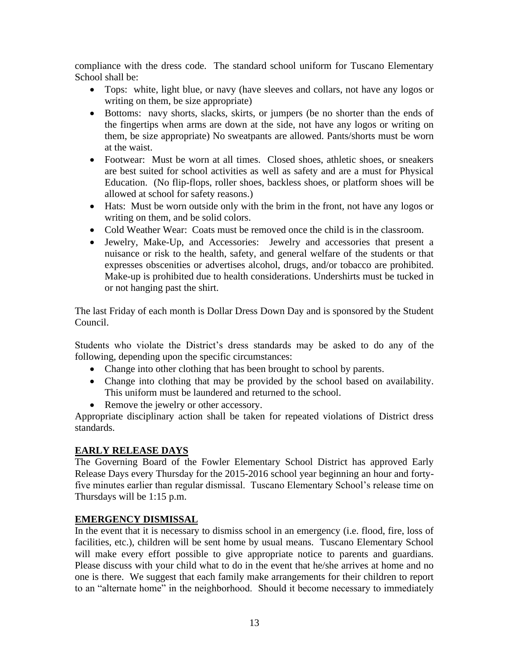compliance with the dress code. The standard school uniform for Tuscano Elementary School shall be:

- Tops: white, light blue, or navy (have sleeves and collars, not have any logos or writing on them, be size appropriate)
- Bottoms: navy shorts, slacks, skirts, or jumpers (be no shorter than the ends of the fingertips when arms are down at the side, not have any logos or writing on them, be size appropriate) No sweatpants are allowed. Pants/shorts must be worn at the waist.
- Footwear: Must be worn at all times. Closed shoes, athletic shoes, or sneakers are best suited for school activities as well as safety and are a must for Physical Education. (No flip-flops, roller shoes, backless shoes, or platform shoes will be allowed at school for safety reasons.)
- Hats: Must be worn outside only with the brim in the front, not have any logos or writing on them, and be solid colors.
- Cold Weather Wear: Coats must be removed once the child is in the classroom.
- Jewelry, Make-Up, and Accessories: Jewelry and accessories that present a nuisance or risk to the health, safety, and general welfare of the students or that expresses obscenities or advertises alcohol, drugs, and/or tobacco are prohibited. Make-up is prohibited due to health considerations. Undershirts must be tucked in or not hanging past the shirt.

The last Friday of each month is Dollar Dress Down Day and is sponsored by the Student Council.

Students who violate the District's dress standards may be asked to do any of the following, depending upon the specific circumstances:

- Change into other clothing that has been brought to school by parents.
- Change into clothing that may be provided by the school based on availability. This uniform must be laundered and returned to the school.
- Remove the jewelry or other accessory.

Appropriate disciplinary action shall be taken for repeated violations of District dress standards.

#### **EARLY RELEASE DAYS**

The Governing Board of the Fowler Elementary School District has approved Early Release Days every Thursday for the 2015-2016 school year beginning an hour and fortyfive minutes earlier than regular dismissal. Tuscano Elementary School's release time on Thursdays will be 1:15 p.m.

#### **EMERGENCY DISMISSAL**

In the event that it is necessary to dismiss school in an emergency (i.e. flood, fire, loss of facilities, etc.), children will be sent home by usual means. Tuscano Elementary School will make every effort possible to give appropriate notice to parents and guardians. Please discuss with your child what to do in the event that he/she arrives at home and no one is there. We suggest that each family make arrangements for their children to report to an "alternate home" in the neighborhood. Should it become necessary to immediately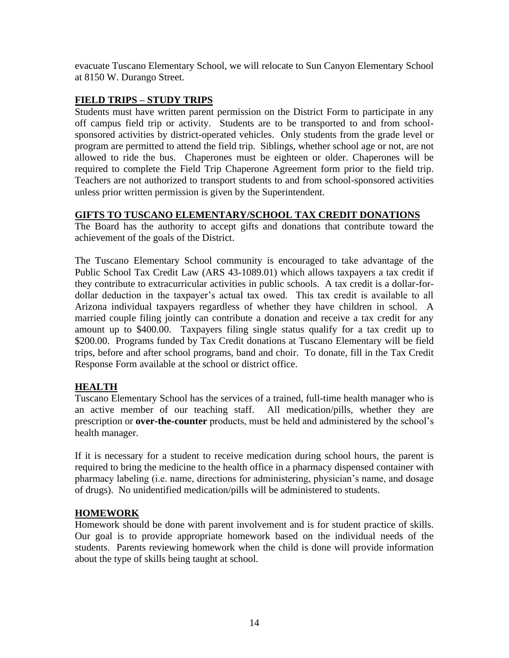evacuate Tuscano Elementary School, we will relocate to Sun Canyon Elementary School at 8150 W. Durango Street.

#### **FIELD TRIPS – STUDY TRIPS**

Students must have written parent permission on the District Form to participate in any off campus field trip or activity. Students are to be transported to and from schoolsponsored activities by district-operated vehicles. Only students from the grade level or program are permitted to attend the field trip. Siblings, whether school age or not, are not allowed to ride the bus. Chaperones must be eighteen or older. Chaperones will be required to complete the Field Trip Chaperone Agreement form prior to the field trip. Teachers are not authorized to transport students to and from school-sponsored activities unless prior written permission is given by the Superintendent.

# **GIFTS TO TUSCANO ELEMENTARY/SCHOOL TAX CREDIT DONATIONS**

The Board has the authority to accept gifts and donations that contribute toward the achievement of the goals of the District.

The Tuscano Elementary School community is encouraged to take advantage of the Public School Tax Credit Law (ARS 43-1089.01) which allows taxpayers a tax credit if they contribute to extracurricular activities in public schools. A tax credit is a dollar-fordollar deduction in the taxpayer's actual tax owed. This tax credit is available to all Arizona individual taxpayers regardless of whether they have children in school. A married couple filing jointly can contribute a donation and receive a tax credit for any amount up to \$400.00. Taxpayers filing single status qualify for a tax credit up to \$200.00. Programs funded by Tax Credit donations at Tuscano Elementary will be field trips, before and after school programs, band and choir. To donate, fill in the Tax Credit Response Form available at the school or district office.

# **HEALTH**

Tuscano Elementary School has the services of a trained, full-time health manager who is an active member of our teaching staff. All medication/pills, whether they are prescription or **over-the-counter** products, must be held and administered by the school's health manager.

If it is necessary for a student to receive medication during school hours, the parent is required to bring the medicine to the health office in a pharmacy dispensed container with pharmacy labeling (i.e. name, directions for administering, physician's name, and dosage of drugs). No unidentified medication/pills will be administered to students.

#### **HOMEWORK**

Homework should be done with parent involvement and is for student practice of skills. Our goal is to provide appropriate homework based on the individual needs of the students. Parents reviewing homework when the child is done will provide information about the type of skills being taught at school.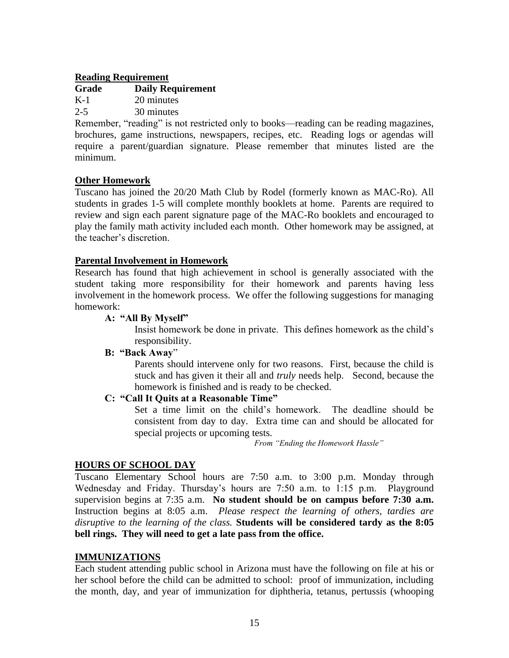#### **Reading Requirement**

#### **Grade Daily Requirement** K-1 20 minutes

2-5 30 minutes

Remember, "reading" is not restricted only to books—reading can be reading magazines, brochures, game instructions, newspapers, recipes, etc. Reading logs or agendas will require a parent/guardian signature. Please remember that minutes listed are the minimum.

#### **Other Homework**

Tuscano has joined the 20/20 Math Club by Rodel (formerly known as MAC-Ro). All students in grades 1-5 will complete monthly booklets at home. Parents are required to review and sign each parent signature page of the MAC-Ro booklets and encouraged to play the family math activity included each month. Other homework may be assigned, at the teacher's discretion.

#### **Parental Involvement in Homework**

Research has found that high achievement in school is generally associated with the student taking more responsibility for their homework and parents having less involvement in the homework process. We offer the following suggestions for managing homework:

#### **A: "All By Myself"**

Insist homework be done in private. This defines homework as the child's responsibility.

#### **B: "Back Away**"

Parents should intervene only for two reasons. First, because the child is stuck and has given it their all and *truly* needs help. Second, because the homework is finished and is ready to be checked.

#### **C: "Call It Quits at a Reasonable Time"**

Set a time limit on the child's homework. The deadline should be consistent from day to day. Extra time can and should be allocated for special projects or upcoming tests.

*From "Ending the Homework Hassle"*

#### **HOURS OF SCHOOL DAY**

Tuscano Elementary School hours are 7:50 a.m. to 3:00 p.m. Monday through Wednesday and Friday. Thursday's hours are 7:50 a.m. to 1:15 p.m. Playground supervision begins at 7:35 a.m. **No student should be on campus before 7:30 a.m.**  Instruction begins at 8:05 a.m. *Please respect the learning of others, tardies are disruptive to the learning of the class.* **Students will be considered tardy as the 8:05 bell rings. They will need to get a late pass from the office.**

#### **IMMUNIZATIONS**

Each student attending public school in Arizona must have the following on file at his or her school before the child can be admitted to school: proof of immunization, including the month, day, and year of immunization for diphtheria, tetanus, pertussis (whooping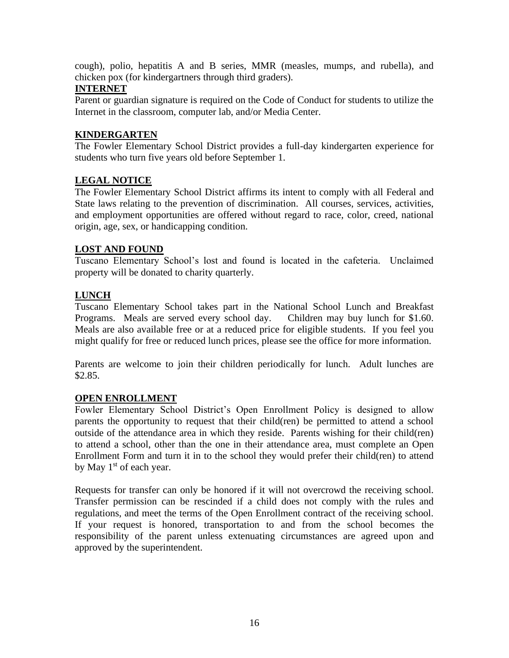cough), polio, hepatitis A and B series, MMR (measles, mumps, and rubella), and chicken pox (for kindergartners through third graders).

#### **INTERNET**

Parent or guardian signature is required on the Code of Conduct for students to utilize the Internet in the classroom, computer lab, and/or Media Center.

#### **KINDERGARTEN**

The Fowler Elementary School District provides a full-day kindergarten experience for students who turn five years old before September 1.

#### **LEGAL NOTICE**

The Fowler Elementary School District affirms its intent to comply with all Federal and State laws relating to the prevention of discrimination. All courses, services, activities, and employment opportunities are offered without regard to race, color, creed, national origin, age, sex, or handicapping condition.

#### **LOST AND FOUND**

Tuscano Elementary School's lost and found is located in the cafeteria. Unclaimed property will be donated to charity quarterly.

#### **LUNCH**

Tuscano Elementary School takes part in the National School Lunch and Breakfast Programs. Meals are served every school day. Children may buy lunch for \$1.60. Meals are also available free or at a reduced price for eligible students. If you feel you might qualify for free or reduced lunch prices, please see the office for more information.

Parents are welcome to join their children periodically for lunch. Adult lunches are \$2.85.

#### **OPEN ENROLLMENT**

Fowler Elementary School District's Open Enrollment Policy is designed to allow parents the opportunity to request that their child(ren) be permitted to attend a school outside of the attendance area in which they reside. Parents wishing for their child(ren) to attend a school, other than the one in their attendance area, must complete an Open Enrollment Form and turn it in to the school they would prefer their child(ren) to attend by May  $1<sup>st</sup>$  of each year.

Requests for transfer can only be honored if it will not overcrowd the receiving school. Transfer permission can be rescinded if a child does not comply with the rules and regulations, and meet the terms of the Open Enrollment contract of the receiving school. If your request is honored, transportation to and from the school becomes the responsibility of the parent unless extenuating circumstances are agreed upon and approved by the superintendent.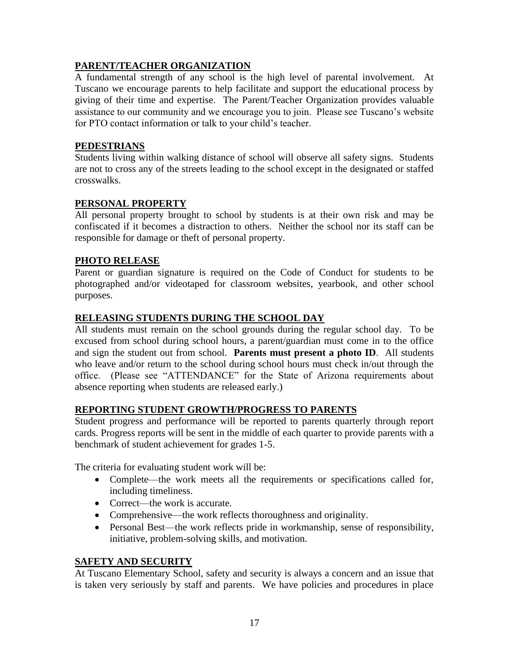# **PARENT/TEACHER ORGANIZATION**

A fundamental strength of any school is the high level of parental involvement. At Tuscano we encourage parents to help facilitate and support the educational process by giving of their time and expertise. The Parent/Teacher Organization provides valuable assistance to our community and we encourage you to join. Please see Tuscano's website for PTO contact information or talk to your child's teacher.

#### **PEDESTRIANS**

Students living within walking distance of school will observe all safety signs. Students are not to cross any of the streets leading to the school except in the designated or staffed crosswalks.

# **PERSONAL PROPERTY**

All personal property brought to school by students is at their own risk and may be confiscated if it becomes a distraction to others. Neither the school nor its staff can be responsible for damage or theft of personal property.

# **PHOTO RELEASE**

Parent or guardian signature is required on the Code of Conduct for students to be photographed and/or videotaped for classroom websites, yearbook, and other school purposes.

#### **RELEASING STUDENTS DURING THE SCHOOL DAY**

All students must remain on the school grounds during the regular school day. To be excused from school during school hours, a parent/guardian must come in to the office and sign the student out from school. **Parents must present a photo ID**. All students who leave and/or return to the school during school hours must check in/out through the office. (Please see "ATTENDANCE" for the State of Arizona requirements about absence reporting when students are released early.)

#### **REPORTING STUDENT GROWTH/PROGRESS TO PARENTS**

Student progress and performance will be reported to parents quarterly through report cards. Progress reports will be sent in the middle of each quarter to provide parents with a benchmark of student achievement for grades 1-5.

The criteria for evaluating student work will be:

- Complete—the work meets all the requirements or specifications called for, including timeliness.
- Correct—the work is accurate.
- Comprehensive—the work reflects thoroughness and originality.
- Personal Best—the work reflects pride in workmanship, sense of responsibility, initiative, problem-solving skills, and motivation.

#### **SAFETY AND SECURITY**

At Tuscano Elementary School, safety and security is always a concern and an issue that is taken very seriously by staff and parents. We have policies and procedures in place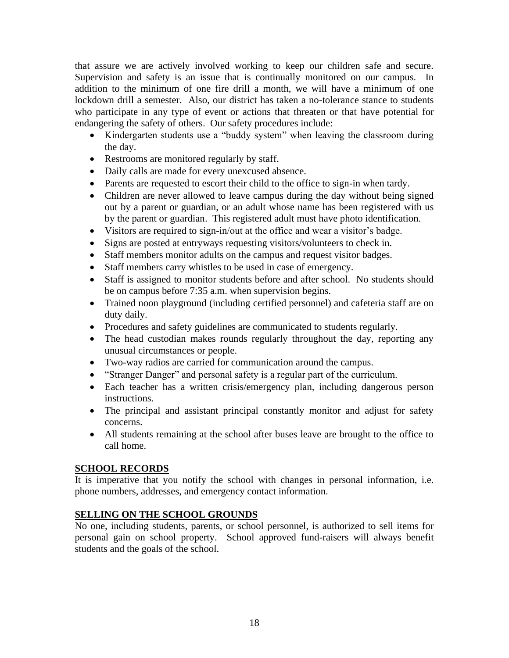that assure we are actively involved working to keep our children safe and secure. Supervision and safety is an issue that is continually monitored on our campus. In addition to the minimum of one fire drill a month, we will have a minimum of one lockdown drill a semester. Also, our district has taken a no-tolerance stance to students who participate in any type of event or actions that threaten or that have potential for endangering the safety of others. Our safety procedures include:

- Kindergarten students use a "buddy system" when leaving the classroom during the day.
- Restrooms are monitored regularly by staff.
- Daily calls are made for every unexcused absence.
- Parents are requested to escort their child to the office to sign-in when tardy.
- Children are never allowed to leave campus during the day without being signed out by a parent or guardian, or an adult whose name has been registered with us by the parent or guardian. This registered adult must have photo identification.
- Visitors are required to sign-in/out at the office and wear a visitor's badge.
- Signs are posted at entryways requesting visitors/volunteers to check in.
- Staff members monitor adults on the campus and request visitor badges.
- Staff members carry whistles to be used in case of emergency.
- Staff is assigned to monitor students before and after school. No students should be on campus before 7:35 a.m. when supervision begins.
- Trained noon playground (including certified personnel) and cafeteria staff are on duty daily.
- Procedures and safety guidelines are communicated to students regularly.
- The head custodian makes rounds regularly throughout the day, reporting any unusual circumstances or people.
- Two-way radios are carried for communication around the campus.
- "Stranger Danger" and personal safety is a regular part of the curriculum.
- Each teacher has a written crisis/emergency plan, including dangerous person instructions.
- The principal and assistant principal constantly monitor and adjust for safety concerns.
- All students remaining at the school after buses leave are brought to the office to call home.

# **SCHOOL RECORDS**

It is imperative that you notify the school with changes in personal information, i.e. phone numbers, addresses, and emergency contact information.

#### **SELLING ON THE SCHOOL GROUNDS**

No one, including students, parents, or school personnel, is authorized to sell items for personal gain on school property. School approved fund-raisers will always benefit students and the goals of the school.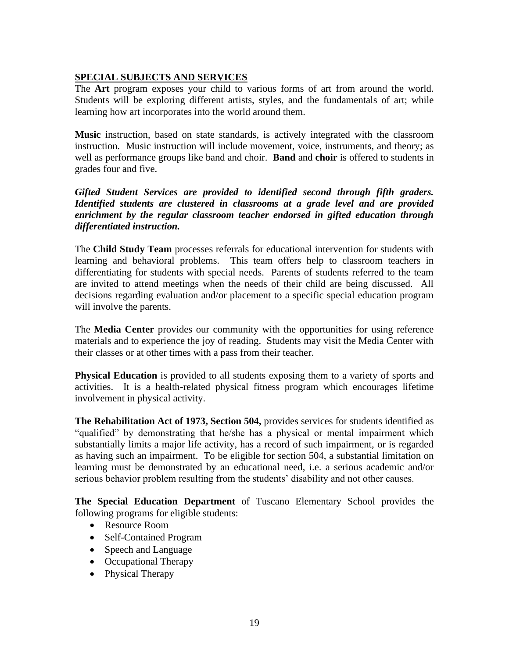# **SPECIAL SUBJECTS AND SERVICES**

The **Art** program exposes your child to various forms of art from around the world. Students will be exploring different artists, styles, and the fundamentals of art; while learning how art incorporates into the world around them.

**Music** instruction, based on state standards, is actively integrated with the classroom instruction. Music instruction will include movement, voice, instruments, and theory; as well as performance groups like band and choir. **Band** and **choir** is offered to students in grades four and five.

*Gifted Student Services are provided to identified second through fifth graders. Identified students are clustered in classrooms at a grade level and are provided enrichment by the regular classroom teacher endorsed in gifted education through differentiated instruction.* 

The **Child Study Team** processes referrals for educational intervention for students with learning and behavioral problems. This team offers help to classroom teachers in differentiating for students with special needs. Parents of students referred to the team are invited to attend meetings when the needs of their child are being discussed. All decisions regarding evaluation and/or placement to a specific special education program will involve the parents.

The **Media Center** provides our community with the opportunities for using reference materials and to experience the joy of reading. Students may visit the Media Center with their classes or at other times with a pass from their teacher.

**Physical Education** is provided to all students exposing them to a variety of sports and activities. It is a health-related physical fitness program which encourages lifetime involvement in physical activity.

**The Rehabilitation Act of 1973, Section 504,** provides services for students identified as "qualified" by demonstrating that he/she has a physical or mental impairment which substantially limits a major life activity, has a record of such impairment, or is regarded as having such an impairment. To be eligible for section 504, a substantial limitation on learning must be demonstrated by an educational need, i.e. a serious academic and/or serious behavior problem resulting from the students' disability and not other causes.

**The Special Education Department** of Tuscano Elementary School provides the following programs for eligible students:

- Resource Room
- Self-Contained Program
- Speech and Language
- Occupational Therapy
- Physical Therapy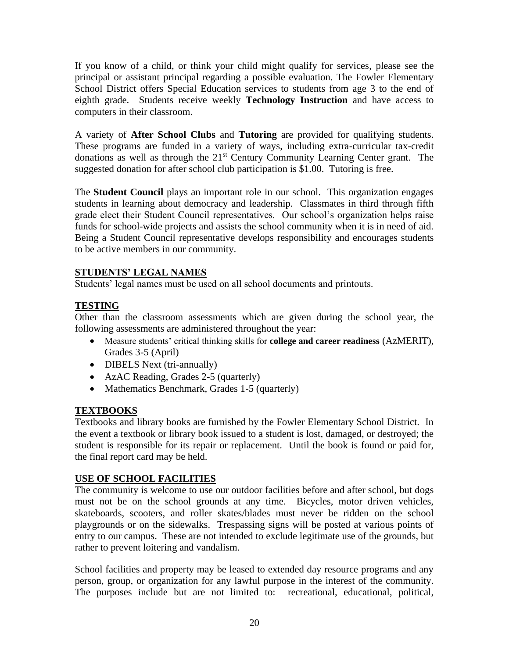If you know of a child, or think your child might qualify for services, please see the principal or assistant principal regarding a possible evaluation. The Fowler Elementary School District offers Special Education services to students from age 3 to the end of eighth grade. Students receive weekly **Technology Instruction** and have access to computers in their classroom.

A variety of **After School Clubs** and **Tutoring** are provided for qualifying students. These programs are funded in a variety of ways, including extra-curricular tax-credit donations as well as through the 21<sup>st</sup> Century Community Learning Center grant. The suggested donation for after school club participation is \$1.00. Tutoring is free.

The **Student Council** plays an important role in our school. This organization engages students in learning about democracy and leadership. Classmates in third through fifth grade elect their Student Council representatives. Our school's organization helps raise funds for school-wide projects and assists the school community when it is in need of aid. Being a Student Council representative develops responsibility and encourages students to be active members in our community.

# **STUDENTS' LEGAL NAMES**

Students' legal names must be used on all school documents and printouts.

# **TESTING**

Other than the classroom assessments which are given during the school year, the following assessments are administered throughout the year:

- Measure students' critical thinking skills for **college and career readiness** (AzMERIT), Grades 3-5 (April)
- DIBELS Next (tri-annually)
- AzAC Reading, Grades 2-5 (quarterly)
- Mathematics Benchmark, Grades 1-5 (quarterly)

#### **TEXTBOOKS**

Textbooks and library books are furnished by the Fowler Elementary School District. In the event a textbook or library book issued to a student is lost, damaged, or destroyed; the student is responsible for its repair or replacement. Until the book is found or paid for, the final report card may be held.

#### **USE OF SCHOOL FACILITIES**

The community is welcome to use our outdoor facilities before and after school, but dogs must not be on the school grounds at any time. Bicycles, motor driven vehicles, skateboards, scooters, and roller skates/blades must never be ridden on the school playgrounds or on the sidewalks. Trespassing signs will be posted at various points of entry to our campus. These are not intended to exclude legitimate use of the grounds, but rather to prevent loitering and vandalism.

School facilities and property may be leased to extended day resource programs and any person, group, or organization for any lawful purpose in the interest of the community. The purposes include but are not limited to: recreational, educational, political,